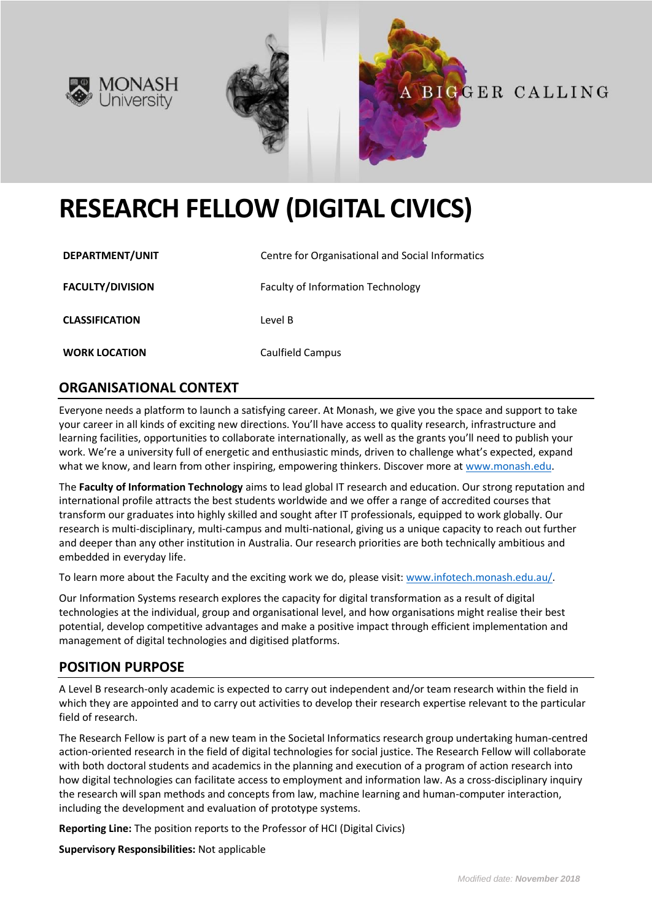





# **RESEARCH FELLOW (DIGITAL CIVICS)**

| DEPARTMENT/UNIT         | Centre for Organisational and Social Informatics |
|-------------------------|--------------------------------------------------|
| <b>FACULTY/DIVISION</b> | Faculty of Information Technology                |
| <b>CLASSIFICATION</b>   | Level B                                          |
| <b>WORK LOCATION</b>    | Caulfield Campus                                 |

## **ORGANISATIONAL CONTEXT**

Everyone needs a platform to launch a satisfying career. At Monash, we give you the space and support to take your career in all kinds of exciting new directions. You'll have access to quality research, infrastructure and learning facilities, opportunities to collaborate internationally, as well as the grants you'll need to publish your work. We're a university full of energetic and enthusiastic minds, driven to challenge what's expected, expand what we know, and learn from other inspiring, empowering thinkers. Discover more a[t www.monash.edu.](http://www.monash.edu/)

The **Faculty of Information Technology** aims to lead global IT research and education. Our strong reputation and international profile attracts the best students worldwide and we offer a range of accredited courses that transform our graduates into highly skilled and sought after IT professionals, equipped to work globally. Our research is multi-disciplinary, multi-campus and multi-national, giving us a unique capacity to reach out further and deeper than any other institution in Australia. Our research priorities are both technically ambitious and embedded in everyday life.

To learn more about the Faculty and the exciting work we do, please visit: [www.infotech.monash.edu.au/.](http://www.infotech.monash.edu.au/)

Our Information Systems research explores the capacity for digital transformation as a result of digital technologies at the individual, group and organisational level, and how organisations might realise their best potential, develop competitive advantages and make a positive impact through efficient implementation and management of digital technologies and digitised platforms.

#### **POSITION PURPOSE**

A Level B research-only academic is expected to carry out independent and/or team research within the field in which they are appointed and to carry out activities to develop their research expertise relevant to the particular field of research.

The Research Fellow is part of a new team in the Societal Informatics research group undertaking human-centred action-oriented research in the field of digital technologies for social justice. The Research Fellow will collaborate with both doctoral students and academics in the planning and execution of a program of action research into how digital technologies can facilitate access to employment and information law. As a cross-disciplinary inquiry the research will span methods and concepts from law, machine learning and human-computer interaction, including the development and evaluation of prototype systems.

**Reporting Line:** The position reports to the Professor of HCI (Digital Civics)

**Supervisory Responsibilities:** Not applicable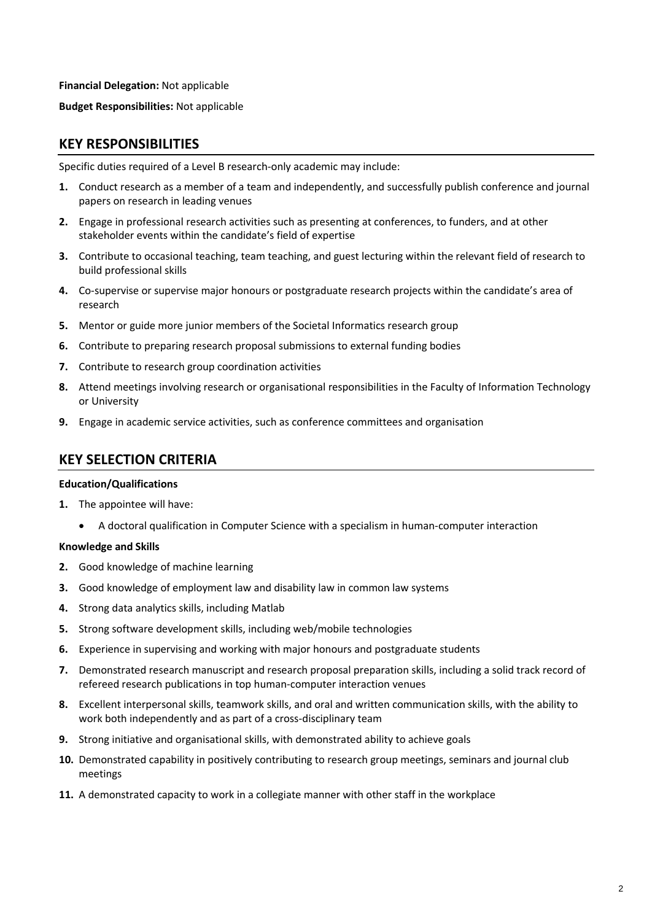**Financial Delegation:** Not applicable

**Budget Responsibilities:** Not applicable

## **KEY RESPONSIBILITIES**

Specific duties required of a Level B research-only academic may include:

- **1.** Conduct research as a member of a team and independently, and successfully publish conference and journal papers on research in leading venues
- **2.** Engage in professional research activities such as presenting at conferences, to funders, and at other stakeholder events within the candidate's field of expertise
- **3.** Contribute to occasional teaching, team teaching, and guest lecturing within the relevant field of research to build professional skills
- **4.** Co-supervise or supervise major honours or postgraduate research projects within the candidate's area of research
- **5.** Mentor or guide more junior members of the Societal Informatics research group
- **6.** Contribute to preparing research proposal submissions to external funding bodies
- **7.** Contribute to research group coordination activities
- **8.** Attend meetings involving research or organisational responsibilities in the Faculty of Information Technology or University
- **9.** Engage in academic service activities, such as conference committees and organisation

#### **KEY SELECTION CRITERIA**

#### **Education/Qualifications**

- **1.** The appointee will have:
	- A doctoral qualification in Computer Science with a specialism in human-computer interaction

#### **Knowledge and Skills**

- **2.** Good knowledge of machine learning
- **3.** Good knowledge of employment law and disability law in common law systems
- **4.** Strong data analytics skills, including Matlab
- **5.** Strong software development skills, including web/mobile technologies
- **6.** Experience in supervising and working with major honours and postgraduate students
- **7.** Demonstrated research manuscript and research proposal preparation skills, including a solid track record of refereed research publications in top human-computer interaction venues
- **8.** Excellent interpersonal skills, teamwork skills, and oral and written communication skills, with the ability to work both independently and as part of a cross-disciplinary team
- **9.** Strong initiative and organisational skills, with demonstrated ability to achieve goals
- **10.** Demonstrated capability in positively contributing to research group meetings, seminars and journal club meetings
- **11.** A demonstrated capacity to work in a collegiate manner with other staff in the workplace